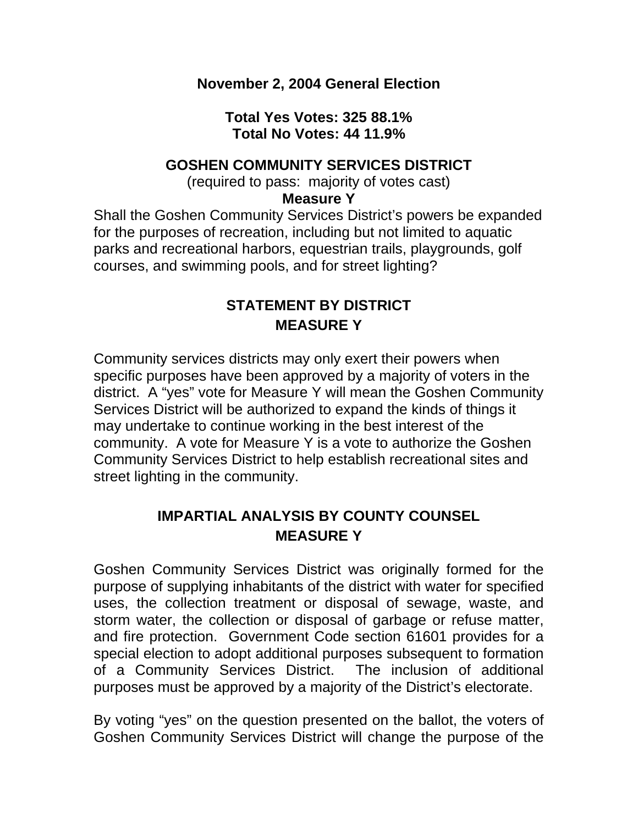### **November 2, 2004 General Election**

### **Total Yes Votes: 325 88.1% Total No Votes: 44 11.9%**

#### **GOSHEN COMMUNITY SERVICES DISTRICT**

(required to pass: majority of votes cast)

#### **Measure Y**

Shall the Goshen Community Services District's powers be expanded for the purposes of recreation, including but not limited to aquatic parks and recreational harbors, equestrian trails, playgrounds, golf courses, and swimming pools, and for street lighting?

# **STATEMENT BY DISTRICT MEASURE Y**

Community services districts may only exert their powers when specific purposes have been approved by a majority of voters in the district. A "yes" vote for Measure Y will mean the Goshen Community Services District will be authorized to expand the kinds of things it may undertake to continue working in the best interest of the community. A vote for Measure Y is a vote to authorize the Goshen Community Services District to help establish recreational sites and street lighting in the community.

## **IMPARTIAL ANALYSIS BY COUNTY COUNSEL MEASURE Y**

Goshen Community Services District was originally formed for the purpose of supplying inhabitants of the district with water for specified uses, the collection treatment or disposal of sewage, waste, and storm water, the collection or disposal of garbage or refuse matter, and fire protection. Government Code section 61601 provides for a special election to adopt additional purposes subsequent to formation of a Community Services District. The inclusion of additional purposes must be approved by a majority of the District's electorate.

By voting "yes" on the question presented on the ballot, the voters of Goshen Community Services District will change the purpose of the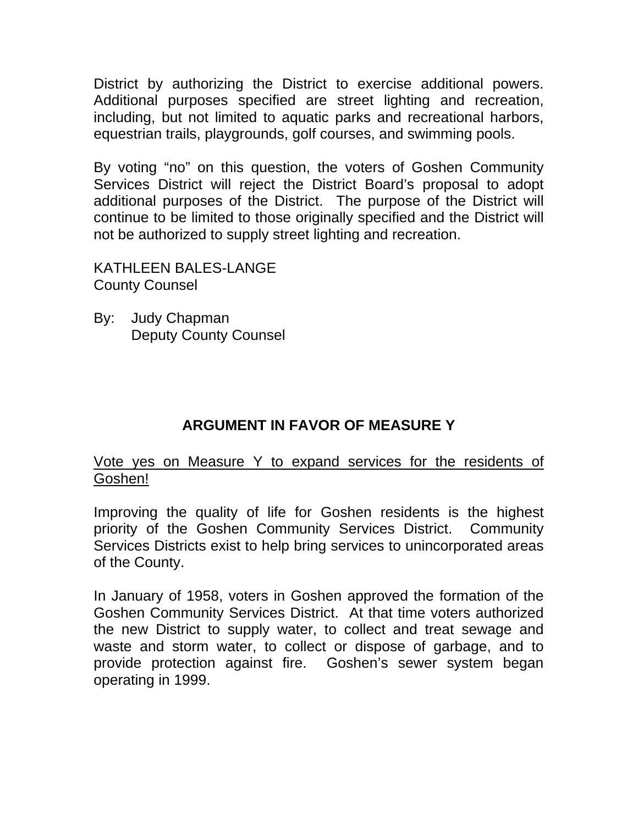District by authorizing the District to exercise additional powers. Additional purposes specified are street lighting and recreation, including, but not limited to aquatic parks and recreational harbors, equestrian trails, playgrounds, golf courses, and swimming pools.

By voting "no" on this question, the voters of Goshen Community Services District will reject the District Board's proposal to adopt additional purposes of the District. The purpose of the District will continue to be limited to those originally specified and the District will not be authorized to supply street lighting and recreation.

KATHLEEN BALES-LANGE County Counsel

By: Judy Chapman Deputy County Counsel

## **ARGUMENT IN FAVOR OF MEASURE Y**

### Vote yes on Measure Y to expand services for the residents of Goshen!

Improving the quality of life for Goshen residents is the highest priority of the Goshen Community Services District. Community Services Districts exist to help bring services to unincorporated areas of the County.

In January of 1958, voters in Goshen approved the formation of the Goshen Community Services District. At that time voters authorized the new District to supply water, to collect and treat sewage and waste and storm water, to collect or dispose of garbage, and to provide protection against fire. Goshen's sewer system began operating in 1999.